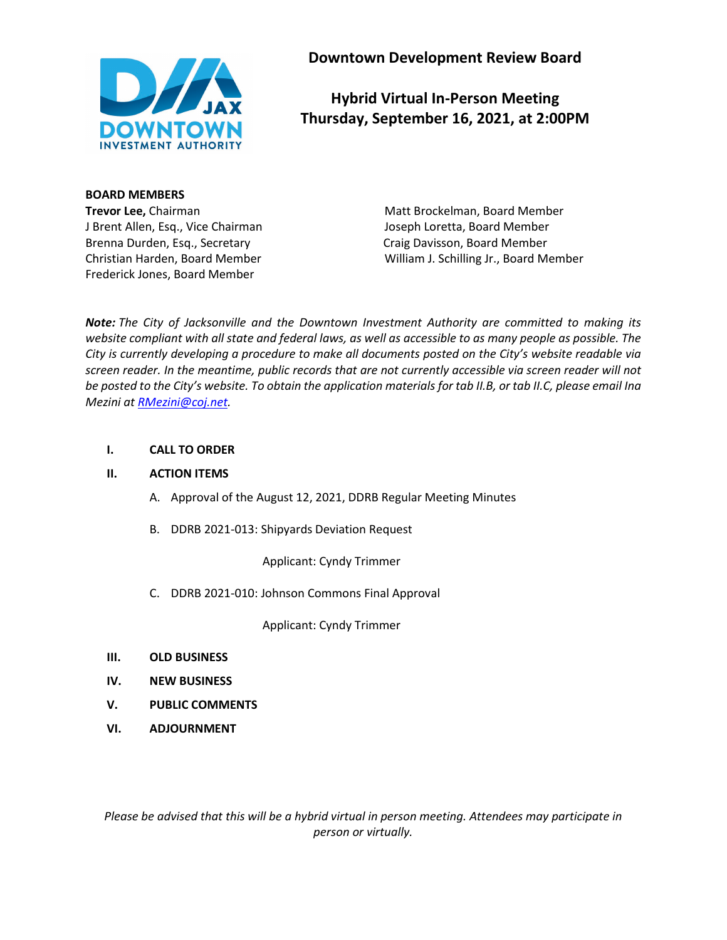

**Downtown Development Review Board**

# **Hybrid Virtual In-Person Meeting Thursday, September 16, 2021, at 2:00PM**

# **BOARD MEMBERS**

J Brent Allen, Esq., Vice Chairman Joseph Loretta, Board Member Brenna Durden, Esq., Secretary Craig Davisson, Board Member Frederick Jones, Board Member

**Trevor Lee,** Chairman Matt Brockelman, Board Member Christian Harden, Board Member William J. Schilling Jr., Board Member

*Note: The City of Jacksonville and the Downtown Investment Authority are committed to making its website compliant with all state and federal laws, as well as accessible to as many people as possible. The City is currently developing a procedure to make all documents posted on the City's website readable via screen reader. In the meantime, public records that are not currently accessible via screen reader will not be posted to the City's website. To obtain the application materials for tab II.B, or tab II.C, please email Ina Mezini at [RMezini@coj.net.](mailto:RMezini@coj.net)*

# **I. CALL TO ORDER**

# **II. ACTION ITEMS**

- A. Approval of the August 12, 2021, DDRB Regular Meeting Minutes
- B. DDRB 2021-013: Shipyards Deviation Request

Applicant: Cyndy Trimmer

C. DDRB 2021-010: Johnson Commons Final Approval

Applicant: Cyndy Trimmer

- **III. OLD BUSINESS**
- **IV. NEW BUSINESS**
- **V. PUBLIC COMMENTS**
- **VI. ADJOURNMENT**

*Please be advised that this will be a hybrid virtual in person meeting. Attendees may participate in person or virtually.*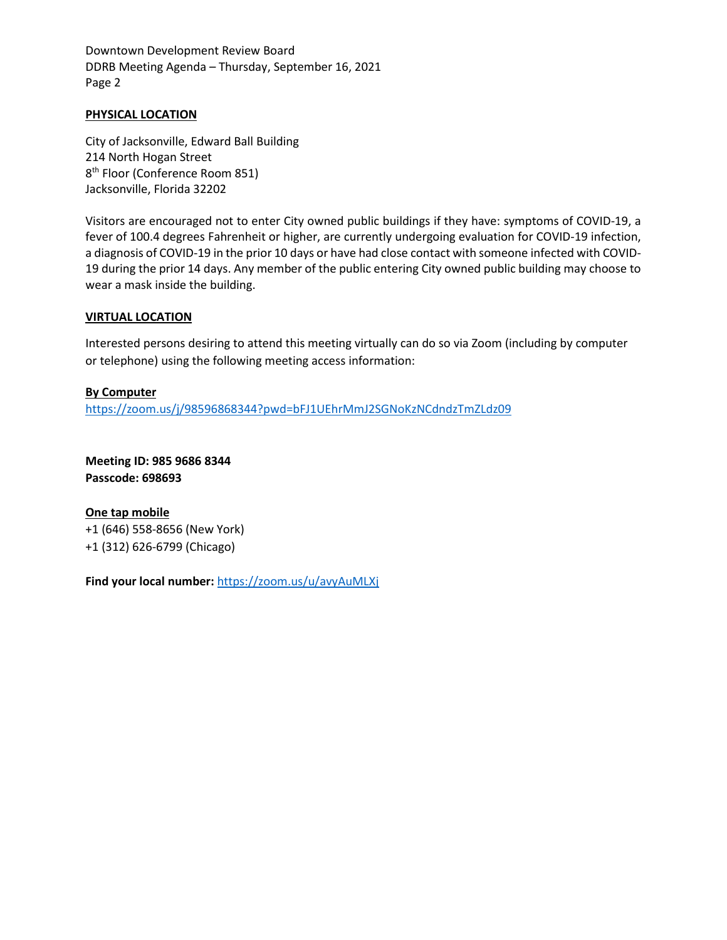Downtown Development Review Board DDRB Meeting Agenda – Thursday, September 16, 2021 Page 2

#### **PHYSICAL LOCATION**

City of Jacksonville, Edward Ball Building 214 North Hogan Street 8<sup>th</sup> Floor (Conference Room 851) Jacksonville, Florida 32202

Visitors are encouraged not to enter City owned public buildings if they have: symptoms of COVID-19, a fever of 100.4 degrees Fahrenheit or higher, are currently undergoing evaluation for COVID-19 infection, a diagnosis of COVID-19 in the prior 10 days or have had close contact with someone infected with COVID-19 during the prior 14 days. Any member of the public entering City owned public building may choose to wear a mask inside the building.

#### **VIRTUAL LOCATION**

Interested persons desiring to attend this meeting virtually can do so via Zoom (including by computer or telephone) using the following meeting access information:

#### **By Computer**

<https://zoom.us/j/98596868344?pwd=bFJ1UEhrMmJ2SGNoKzNCdndzTmZLdz09>

**Meeting ID: 985 9686 8344 Passcode: 698693**

**One tap mobile** +1 (646) 558-8656 (New York) +1 (312) 626-6799 (Chicago)

**Find your local number:** <https://zoom.us/u/avyAuMLXj>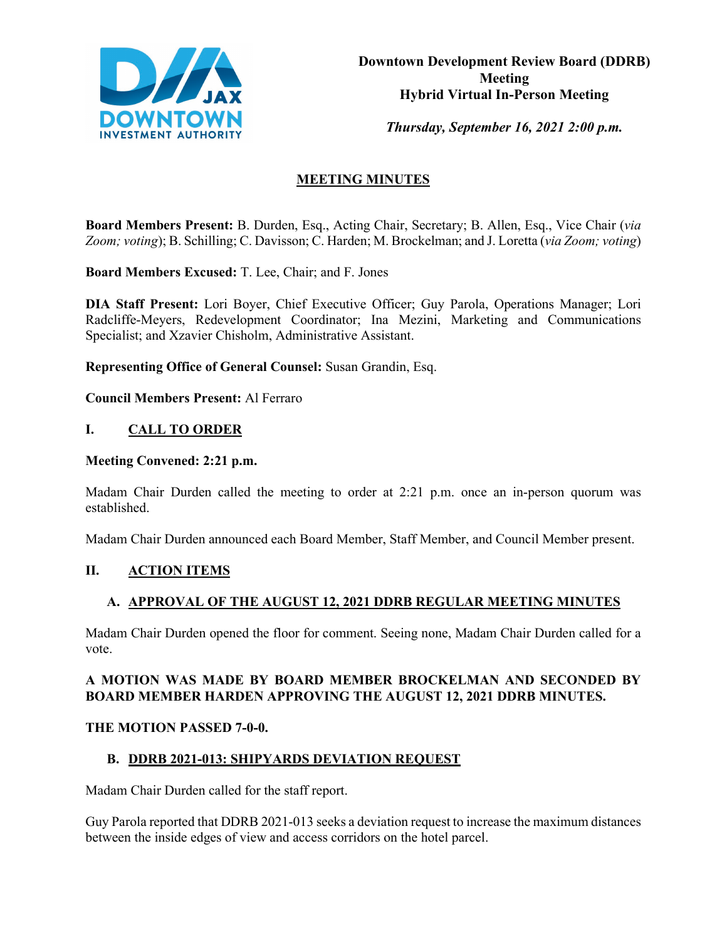

*Thursday, September 16, 2021 2:00 p.m.* 

# **MEETING MINUTES**

**Board Members Present:** B. Durden, Esq., Acting Chair, Secretary; B. Allen, Esq., Vice Chair (*via Zoom; voting*); B. Schilling; C. Davisson; C. Harden; M. Brockelman; and J. Loretta (*via Zoom; voting*)

**Board Members Excused:** T. Lee, Chair; and F. Jones

**DIA Staff Present:** Lori Boyer, Chief Executive Officer; Guy Parola, Operations Manager; Lori Radcliffe-Meyers, Redevelopment Coordinator; Ina Mezini, Marketing and Communications Specialist; and Xzavier Chisholm, Administrative Assistant.

**Representing Office of General Counsel:** Susan Grandin, Esq.

**Council Members Present:** Al Ferraro

# **I. CALL TO ORDER**

#### **Meeting Convened: 2:21 p.m.**

Madam Chair Durden called the meeting to order at 2:21 p.m. once an in-person quorum was established.

Madam Chair Durden announced each Board Member, Staff Member, and Council Member present.

# **II. ACTION ITEMS**

# **A. APPROVAL OF THE AUGUST 12, 2021 DDRB REGULAR MEETING MINUTES**

Madam Chair Durden opened the floor for comment. Seeing none, Madam Chair Durden called for a vote.

# **A MOTION WAS MADE BY BOARD MEMBER BROCKELMAN AND SECONDED BY BOARD MEMBER HARDEN APPROVING THE AUGUST 12, 2021 DDRB MINUTES.**

# **THE MOTION PASSED 7-0-0.**

# **B. DDRB 2021-013: SHIPYARDS DEVIATION REQUEST**

Madam Chair Durden called for the staff report.

Guy Parola reported that DDRB 2021-013 seeks a deviation request to increase the maximum distances between the inside edges of view and access corridors on the hotel parcel.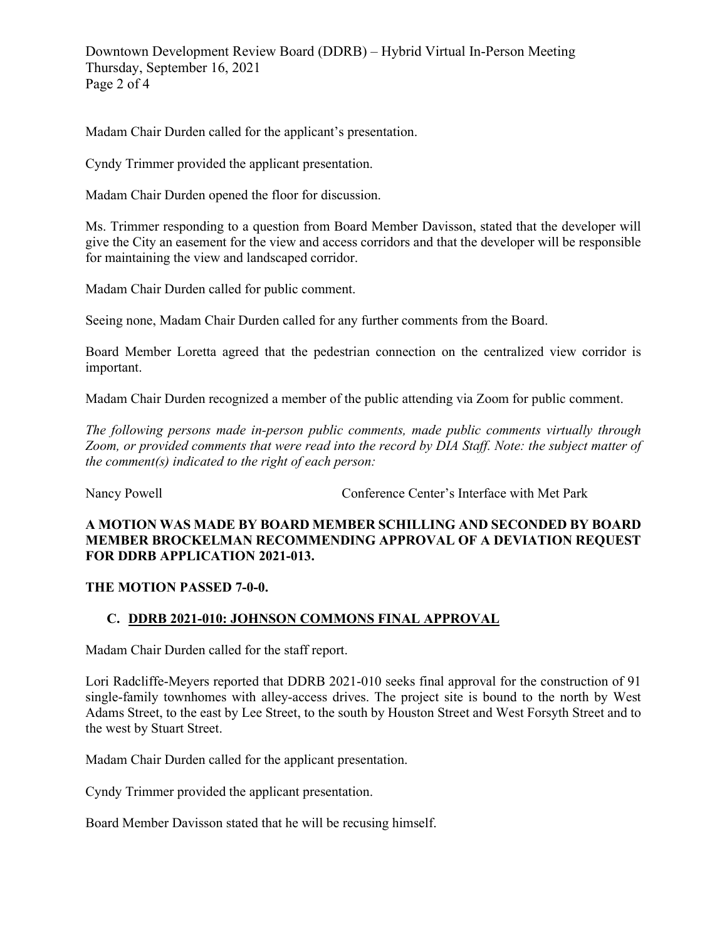Downtown Development Review Board (DDRB) – Hybrid Virtual In-Person Meeting Thursday, September 16, 2021 Page 2 of 4

Madam Chair Durden called for the applicant's presentation.

Cyndy Trimmer provided the applicant presentation.

Madam Chair Durden opened the floor for discussion.

Ms. Trimmer responding to a question from Board Member Davisson, stated that the developer will give the City an easement for the view and access corridors and that the developer will be responsible for maintaining the view and landscaped corridor.

Madam Chair Durden called for public comment.

Seeing none, Madam Chair Durden called for any further comments from the Board.

Board Member Loretta agreed that the pedestrian connection on the centralized view corridor is important.

Madam Chair Durden recognized a member of the public attending via Zoom for public comment.

*The following persons made in-person public comments, made public comments virtually through Zoom, or provided comments that were read into the record by DIA Staff. Note: the subject matter of the comment(s) indicated to the right of each person:*

Nancy Powell Conference Center's Interface with Met Park

### **A MOTION WAS MADE BY BOARD MEMBER SCHILLING AND SECONDED BY BOARD MEMBER BROCKELMAN RECOMMENDING APPROVAL OF A DEVIATION REQUEST FOR DDRB APPLICATION 2021-013.**

# **THE MOTION PASSED 7-0-0.**

# **C. DDRB 2021-010: JOHNSON COMMONS FINAL APPROVAL**

Madam Chair Durden called for the staff report.

Lori Radcliffe-Meyers reported that DDRB 2021-010 seeks final approval for the construction of 91 single-family townhomes with alley-access drives. The project site is bound to the north by West Adams Street, to the east by Lee Street, to the south by Houston Street and West Forsyth Street and to the west by Stuart Street.

Madam Chair Durden called for the applicant presentation.

Cyndy Trimmer provided the applicant presentation.

Board Member Davisson stated that he will be recusing himself.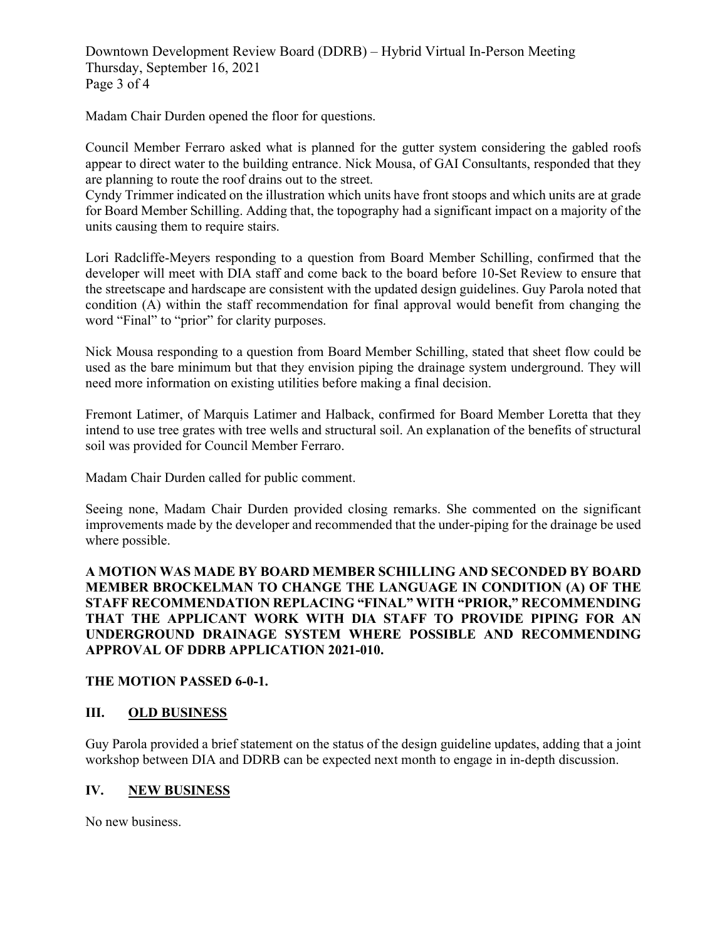Downtown Development Review Board (DDRB) – Hybrid Virtual In-Person Meeting Thursday, September 16, 2021 Page 3 of 4

Madam Chair Durden opened the floor for questions.

Council Member Ferraro asked what is planned for the gutter system considering the gabled roofs appear to direct water to the building entrance. Nick Mousa, of GAI Consultants, responded that they are planning to route the roof drains out to the street.

Cyndy Trimmer indicated on the illustration which units have front stoops and which units are at grade for Board Member Schilling. Adding that, the topography had a significant impact on a majority of the units causing them to require stairs.

Lori Radcliffe-Meyers responding to a question from Board Member Schilling, confirmed that the developer will meet with DIA staff and come back to the board before 10-Set Review to ensure that the streetscape and hardscape are consistent with the updated design guidelines. Guy Parola noted that condition (A) within the staff recommendation for final approval would benefit from changing the word "Final" to "prior" for clarity purposes.

Nick Mousa responding to a question from Board Member Schilling, stated that sheet flow could be used as the bare minimum but that they envision piping the drainage system underground. They will need more information on existing utilities before making a final decision.

Fremont Latimer, of Marquis Latimer and Halback, confirmed for Board Member Loretta that they intend to use tree grates with tree wells and structural soil. An explanation of the benefits of structural soil was provided for Council Member Ferraro.

Madam Chair Durden called for public comment.

Seeing none, Madam Chair Durden provided closing remarks. She commented on the significant improvements made by the developer and recommended that the under-piping for the drainage be used where possible.

**A MOTION WAS MADE BY BOARD MEMBER SCHILLING AND SECONDED BY BOARD MEMBER BROCKELMAN TO CHANGE THE LANGUAGE IN CONDITION (A) OF THE STAFF RECOMMENDATION REPLACING "FINAL" WITH "PRIOR," RECOMMENDING THAT THE APPLICANT WORK WITH DIA STAFF TO PROVIDE PIPING FOR AN UNDERGROUND DRAINAGE SYSTEM WHERE POSSIBLE AND RECOMMENDING APPROVAL OF DDRB APPLICATION 2021-010.**

# **THE MOTION PASSED 6-0-1.**

# **III. OLD BUSINESS**

Guy Parola provided a brief statement on the status of the design guideline updates, adding that a joint workshop between DIA and DDRB can be expected next month to engage in in-depth discussion.

# **IV. NEW BUSINESS**

No new business.